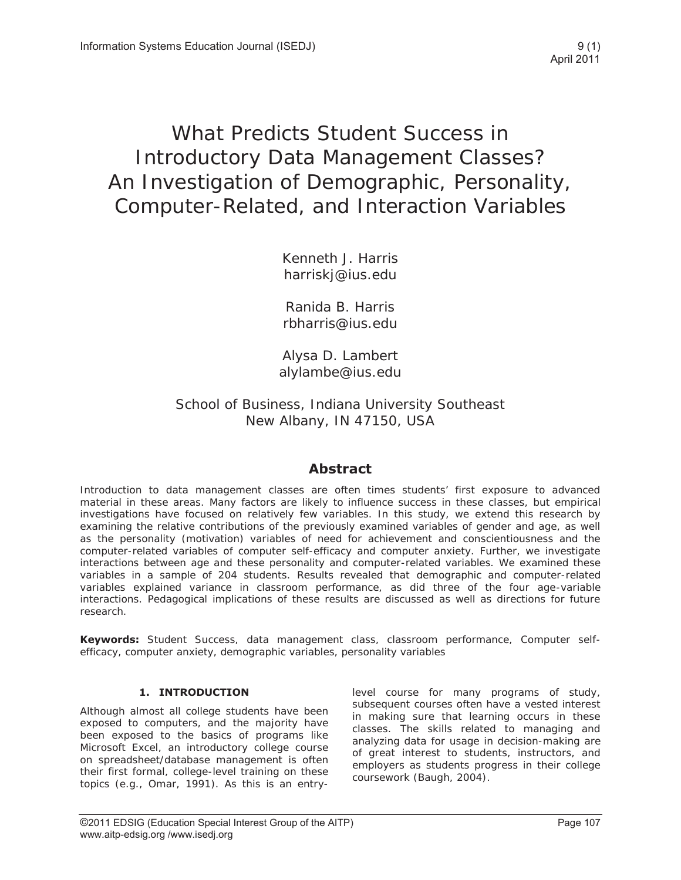## What Predicts Student Success in Introductory Data Management Classes? An Investigation of Demographic, Personality, Computer-Related, and Interaction Variables

Kenneth J. Harris harriskj@ius.edu

Ranida B. Harris rbharris@ius.edu

Alysa D. Lambert alylambe@ius.edu

School of Business, Indiana University Southeast New Albany, IN 47150, USA

### **Abstract**

Introduction to data management classes are often times students' first exposure to advanced material in these areas. Many factors are likely to influence success in these classes, but empirical investigations have focused on relatively few variables. In this study, we extend this research by examining the relative contributions of the previously examined variables of gender and age, as well as the personality (motivation) variables of need for achievement and conscientiousness and the computer-related variables of computer self-efficacy and computer anxiety. Further, we investigate interactions between age and these personality and computer-related variables. We examined these variables in a sample of 204 students. Results revealed that demographic and computer-related variables explained variance in classroom performance, as did three of the four age-variable interactions. Pedagogical implications of these results are discussed as well as directions for future research.

**Keywords:** Student Success, data management class, classroom performance, Computer selfefficacy, computer anxiety, demographic variables, personality variables

#### **1. INTRODUCTION**

Although almost all college students have been exposed to computers, and the majority have been exposed to the basics of programs like Microsoft Excel, an introductory college course on spreadsheet/database management is often their first formal, college-level training on these topics (e.g., Omar, 1991). As this is an entrylevel course for many programs of study, subsequent courses often have a vested interest in making sure that learning occurs in these classes. The skills related to managing and analyzing data for usage in decision-making are of great interest to students, instructors, and employers as students progress in their college coursework (Baugh, 2004).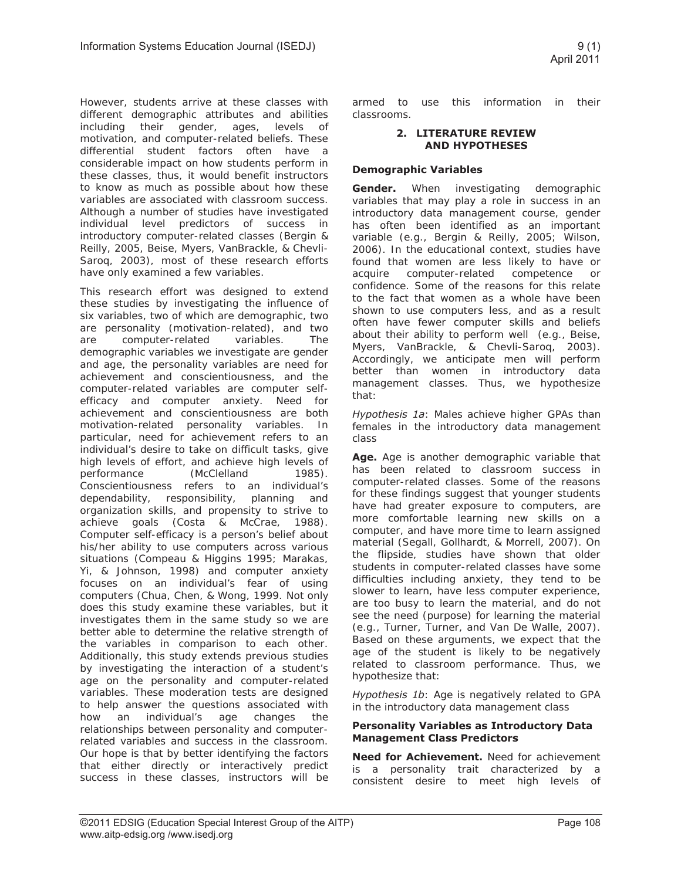However, students arrive at these classes with different demographic attributes and abilities including their gender, ages, levels of motivation, and computer-related beliefs. These differential student factors often have a considerable impact on how students perform in these classes, thus, it would benefit instructors to know as much as possible about how these variables are associated with classroom success. Although a number of studies have investigated individual level predictors of success in introductory computer-related classes (Bergin & Reilly, 2005, Beise, Myers, VanBrackle, & Chevli-Saroq, 2003), most of these research efforts have only examined a few variables.

This research effort was designed to extend these studies by investigating the influence of six variables, two of which are demographic, two are personality (motivation-related), and two are computer-related variables. The demographic variables we investigate are gender and age, the personality variables are need for achievement and conscientiousness, and the computer-related variables are computer selfefficacy and computer anxiety. Need for achievement and conscientiousness are both motivation-related personality variables. In particular, need for achievement refers to an individual's desire to take on difficult tasks, give high levels of effort, and achieve high levels of performance (McClelland 1985). Conscientiousness refers to an individual's dependability, responsibility, planning and organization skills, and propensity to strive to achieve goals (Costa & McCrae, 1988). Computer self-efficacy is a person's belief about his/her ability to use computers across various situations (Compeau & Higgins 1995; Marakas, Yi, & Johnson, 1998) and computer anxiety focuses on an individual's fear of using computers (Chua, Chen, & Wong, 1999. Not only does this study examine these variables, but it investigates them in the same study so we are better able to determine the relative strength of the variables in comparison to each other. Additionally, this study extends previous studies by investigating the interaction of a student's age on the personality and computer-related variables. These moderation tests are designed to help answer the questions associated with how an individual's age changes the relationships between personality and computerrelated variables and success in the classroom. Our hope is that by better identifying the factors that either directly or interactively predict success in these classes, instructors will be

armed to use this information in their classrooms.

#### **2. LITERATURE REVIEW AND HYPOTHESES**

#### **Demographic Variables**

**Gender.** When investigating demographic variables that may play a role in success in an introductory data management course, gender has often been identified as an important variable (e.g., Bergin & Reilly, 2005; Wilson, 2006). In the educational context, studies have found that women are less likely to have or acquire computer-related competence or confidence. Some of the reasons for this relate to the fact that women as a whole have been shown to use computers less, and as a result often have fewer computer skills and beliefs about their ability to perform well (e.g., Beise, Myers, VanBrackle, & Chevli-Saroq, 2003). Accordingly, we anticipate men will perform better than women in introductory data management classes. Thus, we hypothesize that:

*Hypothesis 1a*: Males achieve higher GPAs than females in the introductory data management class

**Age.** Age is another demographic variable that has been related to classroom success in computer-related classes. Some of the reasons for these findings suggest that younger students have had greater exposure to computers, are more comfortable learning new skills on a computer, and have more time to learn assigned material (Segall, Gollhardt, & Morrell, 2007). On the flipside, studies have shown that older students in computer-related classes have some difficulties including anxiety, they tend to be slower to learn, have less computer experience, are too busy to learn the material, and do not see the need (purpose) for learning the material (e.g., Turner, Turner, and Van De Walle, 2007). Based on these arguments, we expect that the age of the student is likely to be negatively related to classroom performance. Thus, we hypothesize that:

*Hypothesis 1b*: Age is negatively related to GPA in the introductory data management class

#### **Personality Variables as Introductory Data Management Class Predictors**

**Need for Achievement.** Need for achievement is a personality trait characterized by a consistent desire to meet high levels of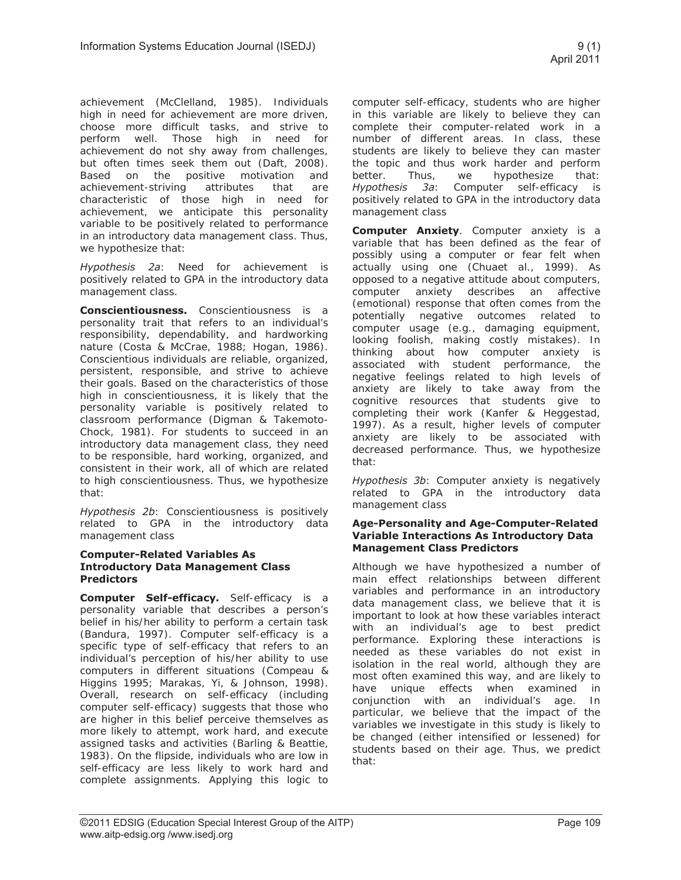achievement (McClelland, 1985). Individuals high in need for achievement are more driven, choose more difficult tasks, and strive to perform well. Those high in need for achievement do not shy away from challenges, but often times seek them out (Daft, 2008). Based on the positive motivation and achievement-striving attributes that are characteristic of those high in need for achievement, we anticipate this personality variable to be positively related to performance in an introductory data management class. Thus, we hypothesize that:

*Hypothesis 2a*: Need for achievement is positively related to GPA in the introductory data management class.

**Conscientiousness.** Conscientiousness is a personality trait that refers to an individual's responsibility, dependability, and hardworking nature (Costa & McCrae, 1988; Hogan, 1986). Conscientious individuals are reliable, organized, persistent, responsible, and strive to achieve their goals. Based on the characteristics of those high in conscientiousness, it is likely that the personality variable is positively related to classroom performance (Digman & Takemoto-Chock, 1981). For students to succeed in an introductory data management class, they need to be responsible, hard working, organized, and consistent in their work, all of which are related to high conscientiousness. Thus, we hypothesize that:

*Hypothesis 2b*: Conscientiousness is positively related to GPA in the introductory data management class

#### **Computer-Related Variables As Introductory Data Management Class Predictors**

**Computer Self-efficacy.** Self-efficacy is a personality variable that describes a person's belief in his/her ability to perform a certain task (Bandura, 1997). Computer self-efficacy is a specific type of self-efficacy that refers to an individual's perception of his/her ability to use computers in different situations (Compeau & Higgins 1995; Marakas, Yi, & Johnson, 1998). Overall, research on self-efficacy (including computer self-efficacy) suggests that those who are higher in this belief perceive themselves as more likely to attempt, work hard, and execute assigned tasks and activities (Barling & Beattie, 1983). On the flipside, individuals who are low in self-efficacy are less likely to work hard and complete assignments. Applying this logic to computer self-efficacy, students who are higher in this variable are likely to believe they can complete their computer-related work in a number of different areas. In class, these students are likely to believe they can master the topic and thus work harder and perform better. Thus, we hypothesize that: *Hypothesis 3a*: Computer self-efficacy is positively related to GPA in the introductory data management class

**Computer Anxiety**. Computer anxiety is a variable that has been defined as the fear of possibly using a computer or fear felt when actually using one (Chuaet al., 1999). As opposed to a negative attitude about computers, computer anxiety describes an affective (emotional) response that often comes from the potentially negative outcomes related to computer usage (e.g., damaging equipment, looking foolish, making costly mistakes). In thinking about how computer anxiety is associated with student performance, the negative feelings related to high levels of anxiety are likely to take away from the cognitive resources that students give to completing their work (Kanfer & Heggestad, 1997). As a result, higher levels of computer anxiety are likely to be associated with decreased performance. Thus, we hypothesize that:

*Hypothesis 3b*: Computer anxiety is negatively related to GPA in the introductory data management class

#### **Age-Personality and Age-Computer-Related Variable Interactions As Introductory Data Management Class Predictors**

Although we have hypothesized a number of main effect relationships between different variables and performance in an introductory data management class, we believe that it is important to look at how these variables interact with an individual's age to best predict performance. Exploring these interactions is needed as these variables do not exist in isolation in the real world, although they are most often examined this way, and are likely to have unique effects when examined in conjunction with an individual's age. In particular, we believe that the impact of the variables we investigate in this study is likely to be changed (either intensified or lessened) for students based on their age. Thus, we predict that: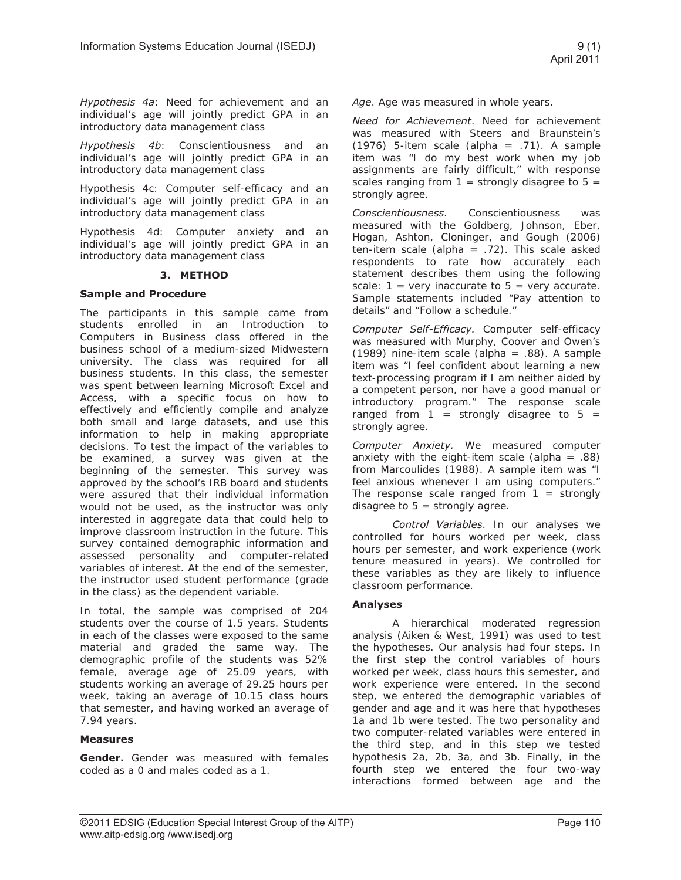*Hypothesis 4a*: Need for achievement and an individual's age will jointly predict GPA in an introductory data management class

*Hypothesis 4b*: Conscientiousness and an individual's age will jointly predict GPA in an introductory data management class

Hypothesis 4c: Computer self-efficacy and an individual's age will jointly predict GPA in an introductory data management class

Hypothesis 4d: Computer anxiety and an individual's age will jointly predict GPA in an introductory data management class

#### **3. METHOD**

#### **Sample and Procedure**

The participants in this sample came from students enrolled in an Introduction to Computers in Business class offered in the business school of a medium-sized Midwestern university. The class was required for all business students. In this class, the semester was spent between learning Microsoft Excel and Access, with a specific focus on how to effectively and efficiently compile and analyze both small and large datasets, and use this information to help in making appropriate decisions. To test the impact of the variables to be examined, a survey was given at the beginning of the semester. This survey was approved by the school's IRB board and students were assured that their individual information would not be used, as the instructor was only interested in aggregate data that could help to improve classroom instruction in the future. This survey contained demographic information and assessed personality and computer-related variables of interest. At the end of the semester, the instructor used student performance (grade in the class) as the dependent variable.

In total, the sample was comprised of 204 students over the course of 1.5 years. Students in each of the classes were exposed to the same material and graded the same way. The demographic profile of the students was 52% female, average age of 25.09 years, with students working an average of 29.25 hours per week, taking an average of 10.15 class hours that semester, and having worked an average of 7.94 years.

#### **Measures**

**Gender.** Gender was measured with females coded as a 0 and males coded as a 1.

*Age*. Age was measured in whole years.

*Need for Achievement*. Need for achievement was measured with Steers and Braunstein's (1976) 5-item scale (alpha =  $.71$ ). A sample item was "I do my best work when my job assignments are fairly difficult," with response scales ranging from  $1 =$  strongly disagree to  $5 =$ strongly agree.

*Conscientiousness.* Conscientiousness was measured with the Goldberg, Johnson, Eber, Hogan, Ashton, Cloninger, and Gough (2006) ten-item scale (alpha =  $.72$ ). This scale asked respondents to rate how accurately each statement describes them using the following scale:  $1 = \text{very inaccurate to } 5 = \text{very accurate.}$ Sample statements included "Pay attention to details" and "Follow a schedule."

*Computer Self-Efficacy.* Computer self-efficacy was measured with Murphy, Coover and Owen's (1989) nine-item scale (alpha = .88). A sample item was "I feel confident about learning a new text-processing program if I am neither aided by a competent person, nor have a good manual or introductory program." The response scale ranged from  $1 =$  strongly disagree to  $5 =$ strongly agree.

*Computer Anxiety.* We measured computer anxiety with the eight-item scale (alpha  $= .88$ ) from Marcoulides (1988). A sample item was "I feel anxious whenever I am using computers." The response scale ranged from  $1 =$  strongly disagree to  $5 =$  strongly agree.

*Control Variables*. In our analyses we controlled for hours worked per week, class hours per semester, and work experience (work tenure measured in years). We controlled for these variables as they are likely to influence classroom performance.

#### **Analyses**

 A hierarchical moderated regression analysis (Aiken & West, 1991) was used to test the hypotheses. Our analysis had four steps. In the first step the control variables of hours worked per week, class hours this semester, and work experience were entered. In the second step, we entered the demographic variables of gender and age and it was here that hypotheses 1a and 1b were tested. The two personality and two computer-related variables were entered in the third step, and in this step we tested hypothesis 2a, 2b, 3a, and 3b. Finally, in the fourth step we entered the four two-way interactions formed between age and the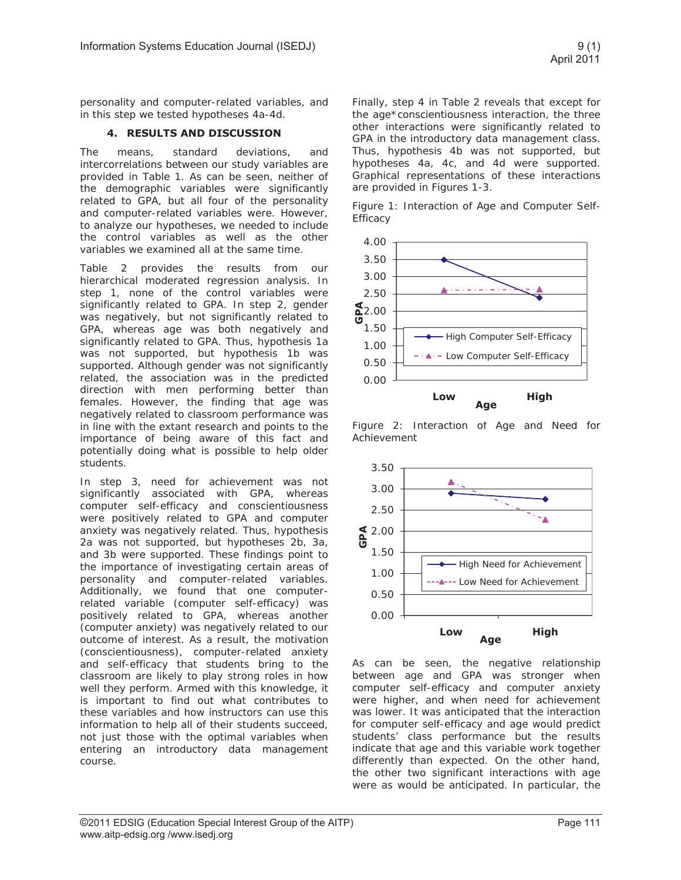personality and computer-related variables, and in this step we tested hypotheses 4a-4d.

#### **4. RESULTS AND DISCUSSION**

The means, standard deviations, and intercorrelations between our study variables are provided in Table 1. As can be seen, neither of the demographic variables were significantly related to GPA, but all four of the personality and computer-related variables were. However, to analyze our hypotheses, we needed to include the control variables as well as the other variables we examined all at the same time.

Table 2 provides the results from our hierarchical moderated regression analysis. In step 1, none of the control variables were significantly related to GPA. In step 2, gender was negatively, but not significantly related to GPA, whereas age was both negatively and significantly related to GPA. Thus, hypothesis 1a was not supported, but hypothesis 1b was supported. Although gender was not significantly related, the association was in the predicted direction with men performing better than females. However, the finding that age was negatively related to classroom performance was in line with the extant research and points to the importance of being aware of this fact and potentially doing what is possible to help older students.

In step 3, need for achievement was not significantly associated with GPA, whereas computer self-efficacy and conscientiousness were positively related to GPA and computer anxiety was negatively related. Thus, hypothesis 2a was not supported, but hypotheses 2b, 3a, and 3b were supported. These findings point to the importance of investigating certain areas of personality and computer-related variables. Additionally, we found that one computerrelated variable (computer self-efficacy) was positively related to GPA, whereas another (computer anxiety) was negatively related to our outcome of interest. As a result, the motivation (conscientiousness), computer-related anxiety and self-efficacy that students bring to the classroom are likely to play strong roles in how well they perform. Armed with this knowledge, it is important to find out what contributes to these variables and how instructors can use this information to help all of their students succeed, not just those with the optimal variables when entering an introductory data management course.

Finally, step 4 in Table 2 reveals that except for the age\*conscientiousness interaction, the three other interactions were significantly related to GPA in the introductory data management class. Thus, hypothesis 4b was not supported, but hypotheses 4a, 4c, and 4d were supported. Graphical representations of these interactions are provided in Figures 1-3.

Figure 1: Interaction of Age and Computer Self-Efficacy



Figure 2: Interaction of Age and Need for Achievement



As can be seen, the negative relationship between age and GPA was stronger when computer self-efficacy and computer anxiety were higher, and when need for achievement was lower. It was anticipated that the interaction for computer self-efficacy and age would predict students' class performance but the results indicate that age and this variable work together differently than expected. On the other hand, the other two significant interactions with age were as would be anticipated. In particular, the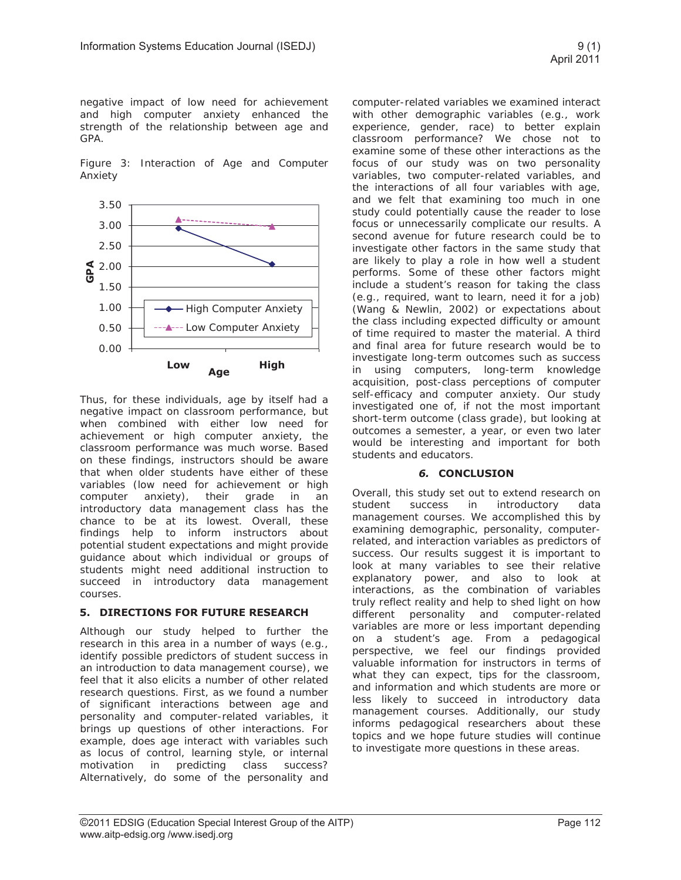negative impact of low need for achievement and high computer anxiety enhanced the strength of the relationship between age and GPA.

Figure 3: Interaction of Age and Computer Anxiety



Thus, for these individuals, age by itself had a negative impact on classroom performance, but when combined with either low need for achievement or high computer anxiety, the classroom performance was much worse. Based on these findings, instructors should be aware that when older students have either of these variables (low need for achievement or high computer anxiety), their grade in an introductory data management class has the chance to be at its lowest. Overall, these findings help to inform instructors about potential student expectations and might provide guidance about which individual or groups of students might need additional instruction to succeed in introductory data management courses.

#### **5. DIRECTIONS FOR FUTURE RESEARCH**

Although our study helped to further the research in this area in a number of ways (e.g., identify possible predictors of student success in an introduction to data management course), we feel that it also elicits a number of other related research questions. First, as we found a number of significant interactions between age and personality and computer-related variables, it brings up questions of other interactions. For example, does age interact with variables such as locus of control, learning style, or internal motivation in predicting class success? Alternatively, do some of the personality and

computer-related variables we examined interact with other demographic variables (e.g., work experience, gender, race) to better explain classroom performance? We chose not to examine some of these other interactions as the focus of our study was on two personality variables, two computer-related variables, and the interactions of all four variables with age, and we felt that examining too much in one study could potentially cause the reader to lose focus or unnecessarily complicate our results. A second avenue for future research could be to investigate other factors in the same study that are likely to play a role in how well a student performs. Some of these other factors might include a student's reason for taking the class (e.g., required, want to learn, need it for a job) (Wang & Newlin, 2002) or expectations about the class including expected difficulty or amount of time required to master the material. A third and final area for future research would be to investigate long-term outcomes such as success in using computers, long-term knowledge acquisition, post-class perceptions of computer self-efficacy and computer anxiety. Our study investigated one of, if not the most important short-term outcome (class grade), but looking at outcomes a semester, a year, or even two later would be interesting and important for both students and educators.

#### *6.* **CONCLUSION**

Overall, this study set out to extend research on student success in introductory data management courses. We accomplished this by examining demographic, personality, computerrelated, and interaction variables as predictors of success. Our results suggest it is important to look at many variables to see their relative explanatory power, and also to look at interactions, as the combination of variables truly reflect reality and help to shed light on how different personality and computer-related variables are more or less important depending on a student's age. From a pedagogical perspective, we feel our findings provided valuable information for instructors in terms of what they can expect, tips for the classroom, and information and which students are more or less likely to succeed in introductory data management courses. Additionally, our study informs pedagogical researchers about these topics and we hope future studies will continue to investigate more questions in these areas.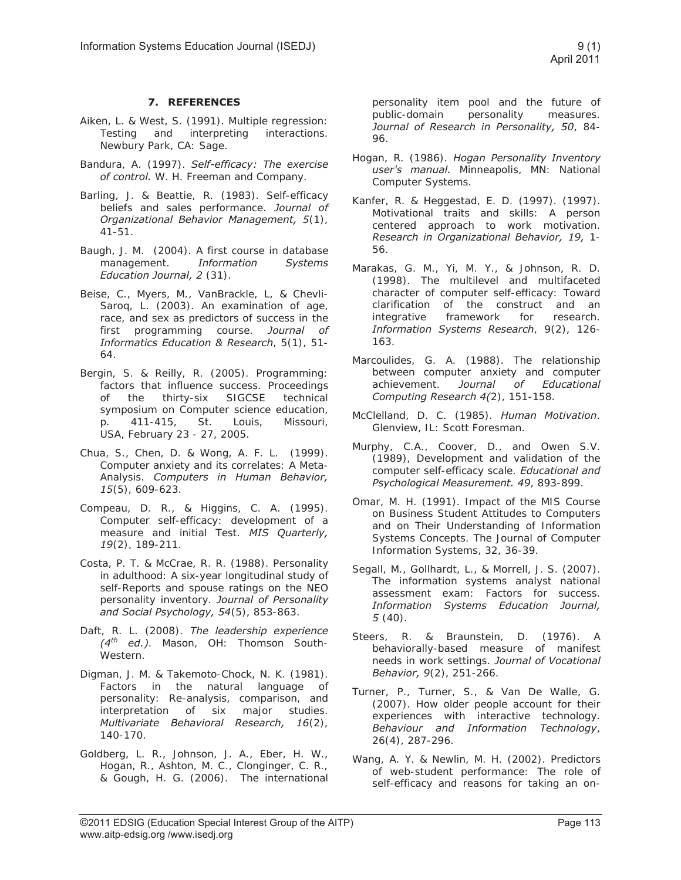#### **7. REFERENCES**

- Aiken, L. & West, S. (1991). Multiple regression: Testing and interpreting interactions. Newbury Park, CA: Sage.
- Bandura, A. (1997). *Self-efficacy: The exercise of control.* W. H. Freeman and Company.
- Barling, J. & Beattie, R. (1983). Self-efficacy beliefs and sales performance. *Journal of Organizational Behavior Management, 5*(1), 41-51.
- Baugh, J. M. (2004). A first course in database management. *Information Systems Education Journal, 2* (31).
- Beise, C., Myers, M., VanBrackle, L, & Chevli-Saroq, L. (2003). An examination of age, race, and sex as predictors of success in the first programming course. *Journal of Informatics Education & Research*, 5(1), 51- 64.
- Bergin, S. & Reilly, R. (2005). Programming: factors that influence success. Proceedings of the thirty-six SIGCSE technical symposium on Computer science education, p. 411-415, St. Louis, Missouri, USA, February 23 - 27, 2005.
- Chua, S., Chen, D. & Wong, A. F. L. (1999). Computer anxiety and its correlates: A Meta-Analysis. *Computers in Human Behavior, 15*(5), 609-623.
- Compeau, D. R., & Higgins, C. A. (1995). Computer self-efficacy: development of a measure and initial Test. *MIS Quarterly, 19*(2), 189-211.
- Costa, P. T. & McCrae, R. R. (1988). Personality in adulthood: A six-year longitudinal study of self-Reports and spouse ratings on the NEO personality inventory. *Journal of Personality and Social Psychology, 54*(5), 853-863.
- Daft, R. L. (2008). *The leadership experience (4th ed.)*. Mason, OH: Thomson South-Western.
- Digman, J. M. & Takemoto-Chock, N. K. (1981). Factors in the natural language of personality: Re-analysis, comparison, and interpretation of six major studies. *Multivariate Behavioral Research, 16*(2), 140-170.
- Goldberg, L. R., Johnson, J. A., Eber, H. W., Hogan, R., Ashton, M. C., Clonginger, C. R., & Gough, H. G. (2006). The international

personality item pool and the future of public-domain personality measures. *Journal of Research in Personality, 50*, 84- 96.

- Hogan, R. (1986). *Hogan Personality Inventory user's manual.* Minneapolis, MN: National Computer Systems.
- Kanfer, R. & Heggestad, E. D. (1997). (1997). Motivational traits and skills: A person centered approach to work motivation. *Research in Organizational Behavior, 19,* 1- 56.
- Marakas, G. M., Yi, M. Y., & Johnson, R. D. (1998). The multilevel and multifaceted character of computer self-efficacy: Toward clarification of the construct and an integrative framework for research. *Information Systems Research*, 9(2), 126- 163.
- Marcoulides, G. A. (1988). The relationship between computer anxiety and computer achievement. *Journal of Educational Computing Research 4(*2), 151-158.
- McClelland, D. C. (1985). *Human Motivation*. Glenview, IL: Scott Foresman.
- Murphy, C.A., Coover, D., and Owen S.V. (1989), Development and validation of the computer self-efficacy scale. *Educational and Psychological Measurement. 49*, 893-899.
- Omar, M. H. (1991). Impact of the MIS Course on Business Student Attitudes to Computers and on Their Understanding of Information Systems Concepts. The Journal of Computer Information Systems, 32, 36-39.
- Segall, M., Gollhardt, L., & Morrell, J. S. (2007). The information systems analyst national assessment exam: Factors for success. *Information Systems Education Journal, 5* (40).
- Steers, R. & Braunstein, D. (1976). A behaviorally-based measure of manifest needs in work settings. *Journal of Vocational Behavior, 9*(2), 251-266.
- Turner, P., Turner, S., & Van De Walle, G. (2007). How older people account for their experiences with interactive technology. *Behaviour and Information Technology*, 26(4), 287-296.
- Wang, A. Y. & Newlin, M. H. (2002). Predictors of web-student performance: The role of self-efficacy and reasons for taking an on-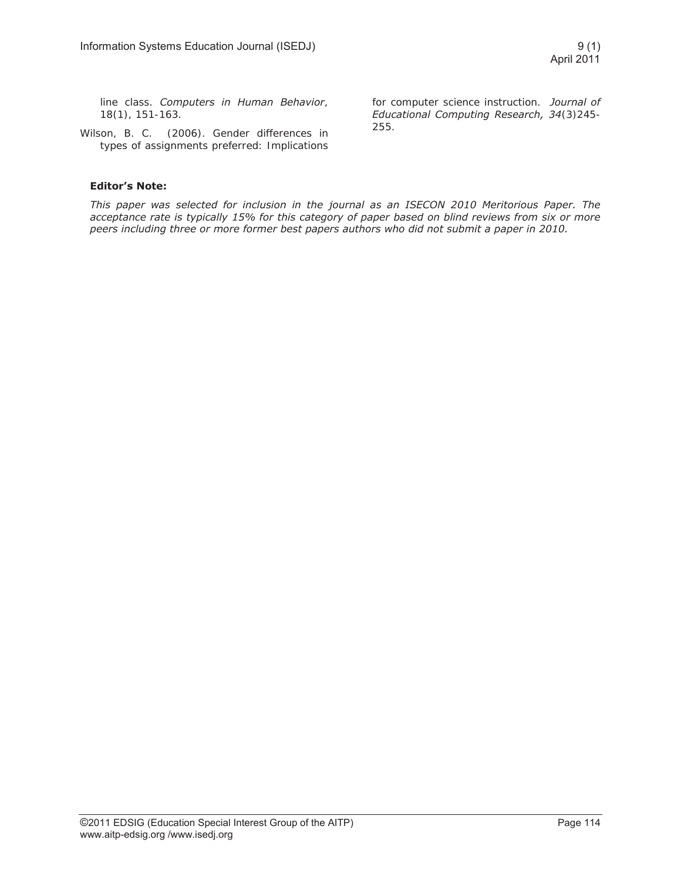line class. *Computers in Human Behavior*, 18(1), 151-163.

Wilson, B. C. (2006). Gender differences in types of assignments preferred: Implications for computer science instruction. *Journal of Educational Computing Research, 34*(3)245- 255.

#### **Editor's Note:**

*This paper was selected for inclusion in the journal as an ISECON 2010 Meritorious Paper. The acceptance rate is typically 15% for this category of paper based on blind reviews from six or more peers including three or more former best papers authors who did not submit a paper in 2010.*